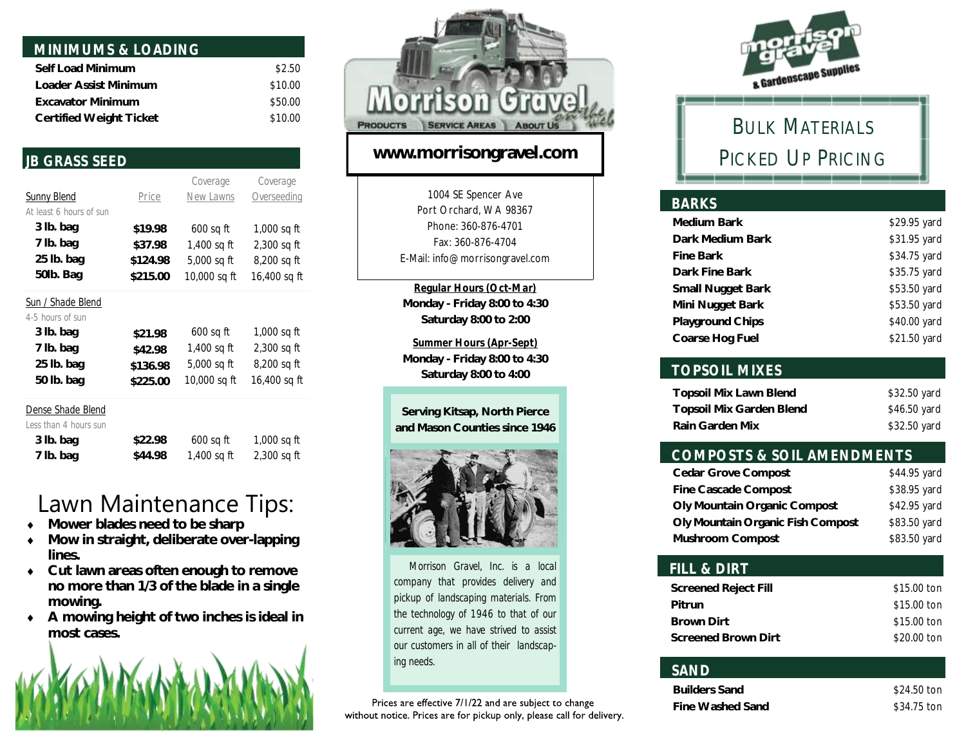| MINIMUMS & LOADING       |         |
|--------------------------|---------|
| Self Load Minimum        | \$2.50  |
| Loader Assist Minimum    | \$10.00 |
| <b>Excavator Minimum</b> | \$50.00 |
| Certified Weight Ticket  | \$10.00 |

### *JB GRASS SEED*

 **7 lb. bag**

|                         |          | Coverage     | Coverage      |
|-------------------------|----------|--------------|---------------|
| <b>Sunny Blend</b>      | Price    | New Lawns    | Overseeding   |
| At least 6 hours of sun |          |              |               |
| 3 lb. bag               | \$19.98  | $600$ sq ft  | 1,000 sq ft   |
| 7 lb. bag               | \$37.98  | 1,400 sq ft  | $2,300$ sq ft |
| 25 lb. bag              | \$124.98 | 5,000 sq ft  | 8,200 sq ft   |
| 50lb. Bag               | \$215.00 | 10,000 sq ft | 16,400 sq ft  |
| Sun / Shade Blend       |          |              |               |
| 4-5 hours of sun        |          |              |               |
| 3 lb. bag               | \$21.98  | $600$ sq ft  | 1,000 sq ft   |
| 7 lb. bag               | \$42.98  | 1,400 sq ft  | $2,300$ sq ft |
| 25 lb. bag              | \$136.98 | 5,000 sq ft  | 8,200 sq ft   |
| 50 lb. bag              | \$225.00 | 10,000 sq ft | 16,400 sq ft  |
| Dense Shade Blend       |          |              |               |
| Less than 4 hours sun   |          |              |               |
| 3 lb. bag               | \$22.98  | 600 sq ft    | 1,000 sq ft   |

# Lawn Maintenance Tips:

1,400 sq ft

2,300 sq ft

**\$44.98**

- **Mower blades need to be sharp**
- **Mow in straight, deliberate over-lapping lines.**
- **Cut lawn areas often enough to remove no more than 1/3 of the blade in a single mowing.**
- **A mowing height of two inches is ideal in most cases.**





### **www.morrisongravel.com**

1004 SE Spencer Ave Port Orchard, WA 98367 Phone: 360-876-4701 Fax: 360-876-4704 E-Mail: info@morrisongravel.com

*Regular Hours (Oct-Mar)* **Monday - Friday 8:00 to 4:30 Saturday 8:00 to 2:00**

*Summer Hours (Apr-Sept)* **Monday - Friday 8:00 to 4:30 Saturday 8:00 to 4:00**





 *Morrison Gravel, Inc. is a local company that provides delivery and pickup of landscaping materials. From the technology of 1946 to that of our current age, we have strived to assist our customers in all of their landscaping needs.* 

Prices are effective 7/1/22 and are subject to change without notice. Prices are for pickup only, please call for delivery.



# BULK MATERIALS PICKED UP PRICING

#### *BARKS*  **Medium Bark Dark Medium Bark Fine Bark Dark Fine Bark Small Nugget Bark Mini Nugget Bark Playground Chips Coarse Hog Fuel**  \$29.95 yard \$31.95 yard \$34.75 yard \$35.75 yard \$53.50 yard \$53.50 yard \$40.00 yard \$21.50 yard

### *TOPSOIL MIXES*

| Topsoil Mix Lawn Blend   | \$32.50 yard |
|--------------------------|--------------|
| Topsoil Mix Garden Blend | \$46.50 yard |
| Rain Garden Mix          | \$32.50 yard |

### *COMPOSTS & SOIL AMENDMENTS*

| Cedar Grove Compost               | \$44.95 yard |
|-----------------------------------|--------------|
| Fine Cascade Compost              | \$38.95 yard |
| Oly Mountain Organic Compost      | \$42.95 yard |
| Oly Mountain Organic Fish Compost | \$83.50 yard |
| Mushroom Compost                  | \$83.50 yard |

#### *FILL & DIRT*  **Screened Reject Fill Pitrun Brown Dirt Screened Brown Dirt** \$15.00 ton \$15.00 ton \$15.00 ton \$20.00 ton

### *SAND*

| Builders Sand    | \$24.50 ton |
|------------------|-------------|
| Fine Washed Sand | \$34.75 ton |